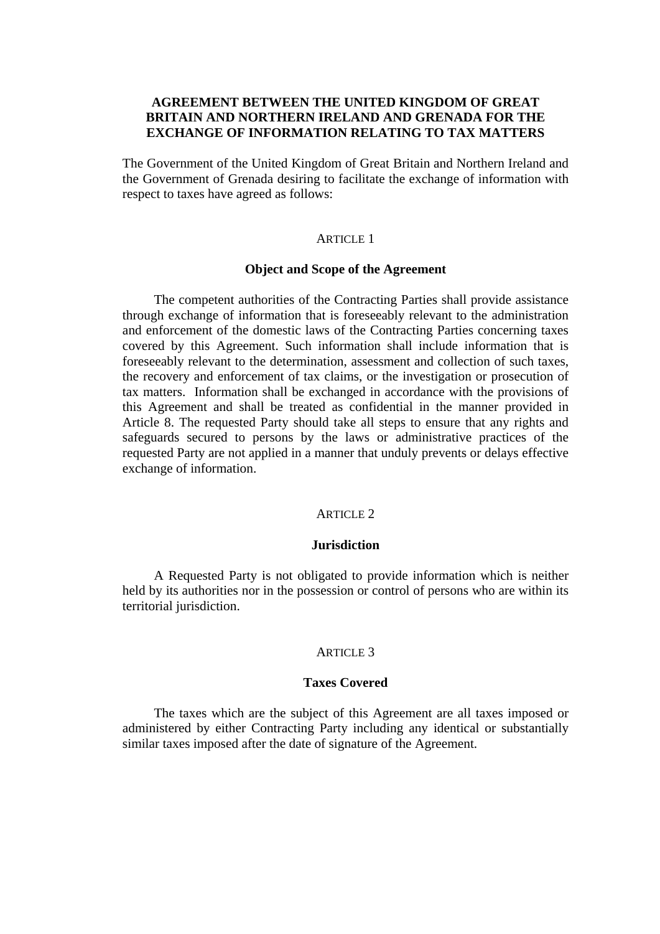# **AGREEMENT BETWEEN THE UNITED KINGDOM OF GREAT BRITAIN AND NORTHERN IRELAND AND GRENADA FOR THE EXCHANGE OF INFORMATION RELATING TO TAX MATTERS**

The Government of the United Kingdom of Great Britain and Northern Ireland and the Government of Grenada desiring to facilitate the exchange of information with respect to taxes have agreed as follows:

### ARTICLE 1

### **Object and Scope of the Agreement**

 The competent authorities of the Contracting Parties shall provide assistance through exchange of information that is foreseeably relevant to the administration and enforcement of the domestic laws of the Contracting Parties concerning taxes covered by this Agreement. Such information shall include information that is foreseeably relevant to the determination, assessment and collection of such taxes, the recovery and enforcement of tax claims, or the investigation or prosecution of tax matters. Information shall be exchanged in accordance with the provisions of this Agreement and shall be treated as confidential in the manner provided in Article 8. The requested Party should take all steps to ensure that any rights and safeguards secured to persons by the laws or administrative practices of the requested Party are not applied in a manner that unduly prevents or delays effective exchange of information.

### ARTICLE 2

#### **Jurisdiction**

 A Requested Party is not obligated to provide information which is neither held by its authorities nor in the possession or control of persons who are within its territorial jurisdiction.

#### ARTICLE 3

#### **Taxes Covered**

 The taxes which are the subject of this Agreement are all taxes imposed or administered by either Contracting Party including any identical or substantially similar taxes imposed after the date of signature of the Agreement.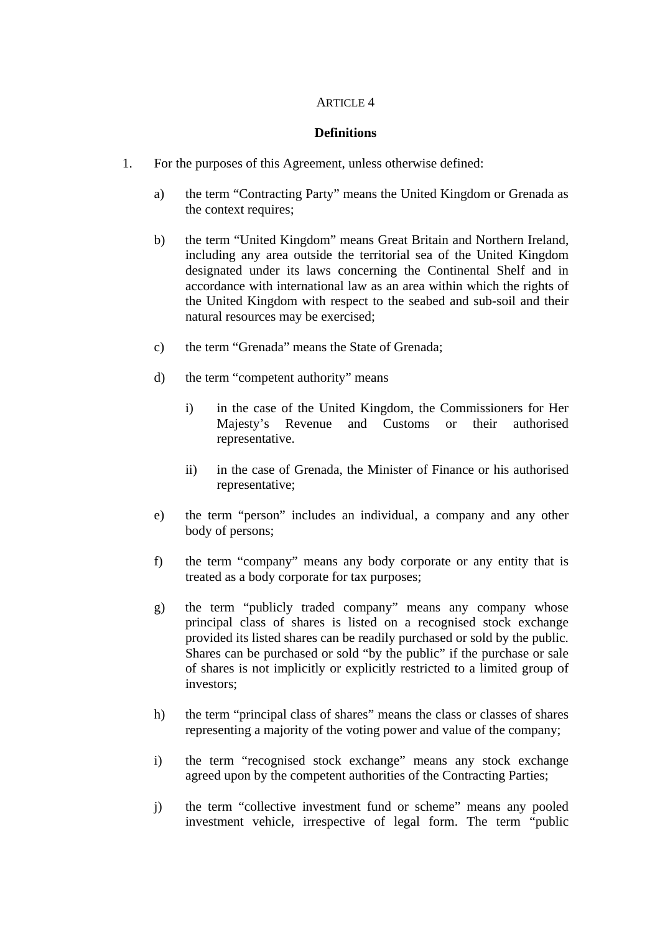# **Definitions**

- 1. For the purposes of this Agreement, unless otherwise defined:
	- a) the term "Contracting Party" means the United Kingdom or Grenada as the context requires;
	- b) the term "United Kingdom" means Great Britain and Northern Ireland, including any area outside the territorial sea of the United Kingdom designated under its laws concerning the Continental Shelf and in accordance with international law as an area within which the rights of the United Kingdom with respect to the seabed and sub-soil and their natural resources may be exercised;
	- c) the term "Grenada" means the State of Grenada;
	- d) the term "competent authority" means
		- i) in the case of the United Kingdom, the Commissioners for Her Majesty's Revenue and Customs or their authorised representative.
		- ii) in the case of Grenada, the Minister of Finance or his authorised representative;
	- e) the term "person" includes an individual, a company and any other body of persons;
	- f) the term "company" means any body corporate or any entity that is treated as a body corporate for tax purposes;
	- g) the term "publicly traded company" means any company whose principal class of shares is listed on a recognised stock exchange provided its listed shares can be readily purchased or sold by the public. Shares can be purchased or sold "by the public" if the purchase or sale of shares is not implicitly or explicitly restricted to a limited group of investors;
	- h) the term "principal class of shares" means the class or classes of shares representing a majority of the voting power and value of the company;
	- i) the term "recognised stock exchange" means any stock exchange agreed upon by the competent authorities of the Contracting Parties;
	- j) the term "collective investment fund or scheme" means any pooled investment vehicle, irrespective of legal form. The term "public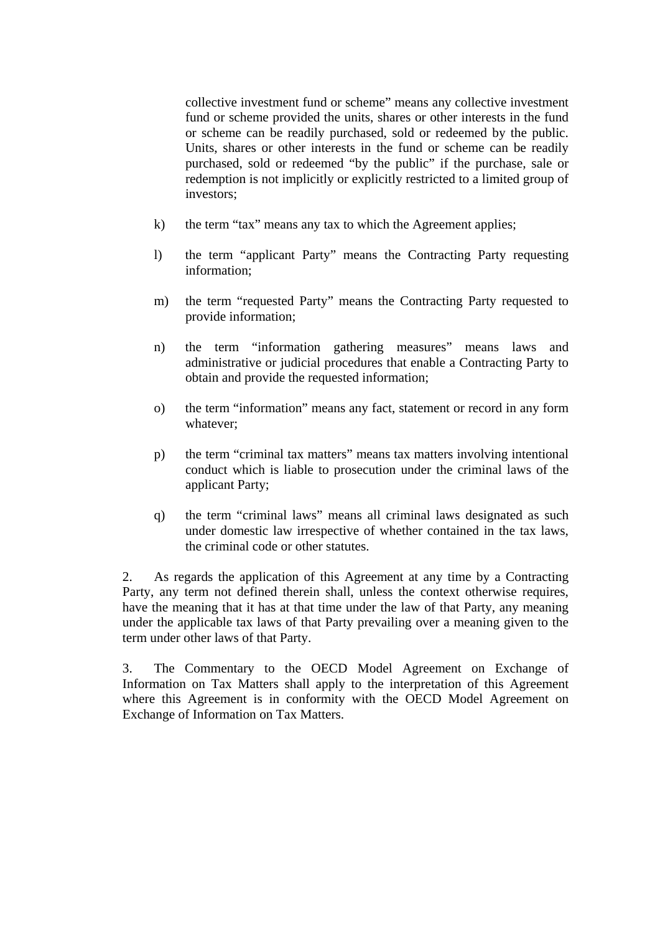collective investment fund or scheme" means any collective investment fund or scheme provided the units, shares or other interests in the fund or scheme can be readily purchased, sold or redeemed by the public. Units, shares or other interests in the fund or scheme can be readily purchased, sold or redeemed "by the public" if the purchase, sale or redemption is not implicitly or explicitly restricted to a limited group of investors;

- k) the term "tax" means any tax to which the Agreement applies;
- l) the term "applicant Party" means the Contracting Party requesting information;
- m) the term "requested Party" means the Contracting Party requested to provide information;
- n) the term "information gathering measures" means laws and administrative or judicial procedures that enable a Contracting Party to obtain and provide the requested information;
- o) the term "information" means any fact, statement or record in any form whatever;
- p) the term "criminal tax matters" means tax matters involving intentional conduct which is liable to prosecution under the criminal laws of the applicant Party;
- q) the term "criminal laws" means all criminal laws designated as such under domestic law irrespective of whether contained in the tax laws, the criminal code or other statutes.

2. As regards the application of this Agreement at any time by a Contracting Party, any term not defined therein shall, unless the context otherwise requires, have the meaning that it has at that time under the law of that Party, any meaning under the applicable tax laws of that Party prevailing over a meaning given to the term under other laws of that Party.

3. The Commentary to the OECD Model Agreement on Exchange of Information on Tax Matters shall apply to the interpretation of this Agreement where this Agreement is in conformity with the OECD Model Agreement on Exchange of Information on Tax Matters.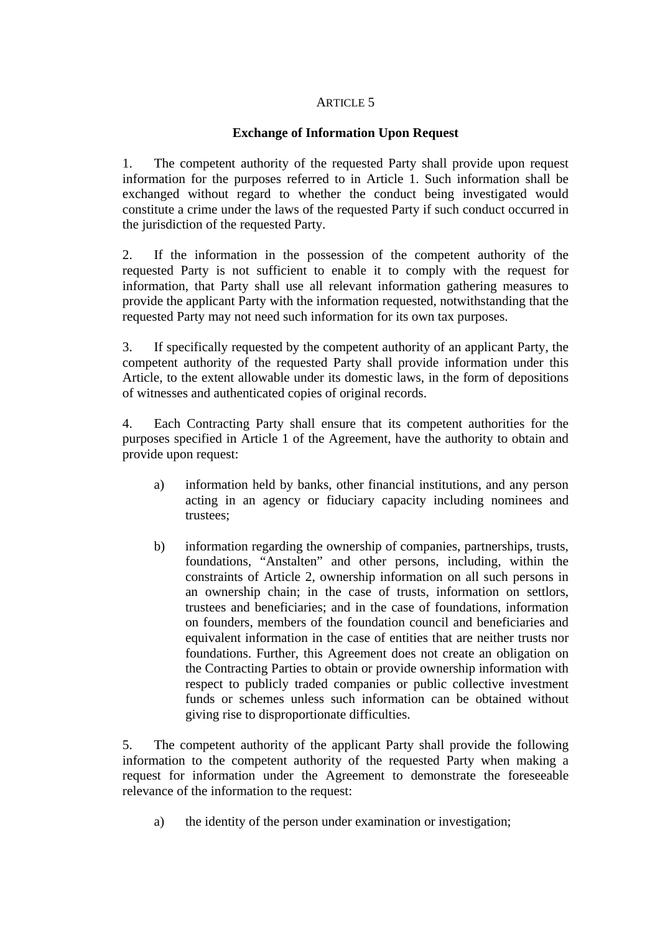# **Exchange of Information Upon Request**

1. The competent authority of the requested Party shall provide upon request information for the purposes referred to in Article 1. Such information shall be exchanged without regard to whether the conduct being investigated would constitute a crime under the laws of the requested Party if such conduct occurred in the jurisdiction of the requested Party.

2. If the information in the possession of the competent authority of the requested Party is not sufficient to enable it to comply with the request for information, that Party shall use all relevant information gathering measures to provide the applicant Party with the information requested, notwithstanding that the requested Party may not need such information for its own tax purposes.

3. If specifically requested by the competent authority of an applicant Party, the competent authority of the requested Party shall provide information under this Article, to the extent allowable under its domestic laws, in the form of depositions of witnesses and authenticated copies of original records.

4. Each Contracting Party shall ensure that its competent authorities for the purposes specified in Article 1 of the Agreement, have the authority to obtain and provide upon request:

- a) information held by banks, other financial institutions, and any person acting in an agency or fiduciary capacity including nominees and trustees;
- b) information regarding the ownership of companies, partnerships, trusts, foundations, "Anstalten" and other persons, including, within the constraints of Article 2, ownership information on all such persons in an ownership chain; in the case of trusts, information on settlors, trustees and beneficiaries; and in the case of foundations, information on founders, members of the foundation council and beneficiaries and equivalent information in the case of entities that are neither trusts nor foundations. Further, this Agreement does not create an obligation on the Contracting Parties to obtain or provide ownership information with respect to publicly traded companies or public collective investment funds or schemes unless such information can be obtained without giving rise to disproportionate difficulties.

5. The competent authority of the applicant Party shall provide the following information to the competent authority of the requested Party when making a request for information under the Agreement to demonstrate the foreseeable relevance of the information to the request:

a) the identity of the person under examination or investigation;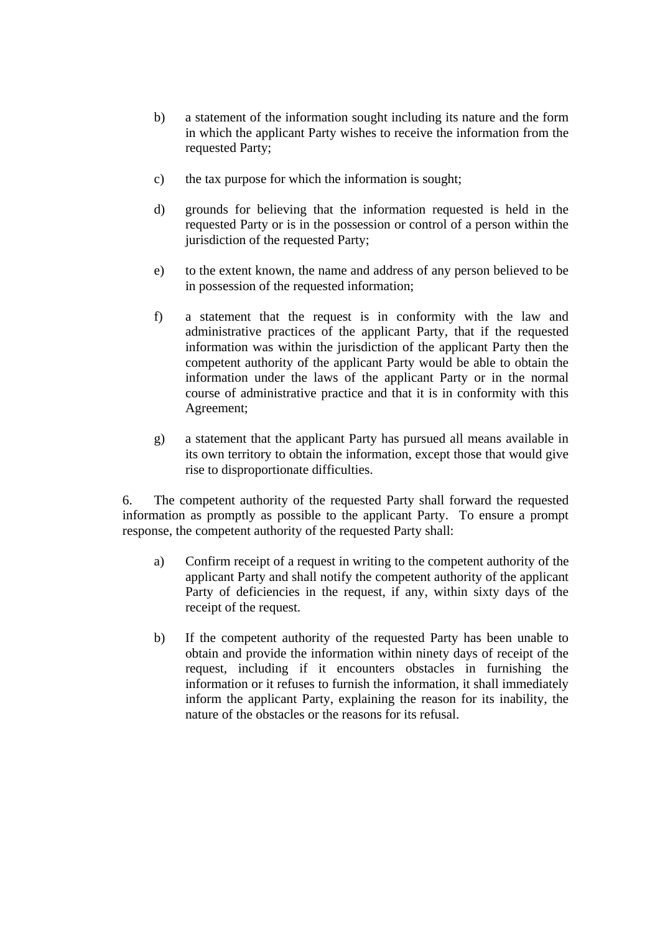- b) a statement of the information sought including its nature and the form in which the applicant Party wishes to receive the information from the requested Party;
- c) the tax purpose for which the information is sought;
- d) grounds for believing that the information requested is held in the requested Party or is in the possession or control of a person within the jurisdiction of the requested Party;
- e) to the extent known, the name and address of any person believed to be in possession of the requested information;
- f) a statement that the request is in conformity with the law and administrative practices of the applicant Party, that if the requested information was within the jurisdiction of the applicant Party then the competent authority of the applicant Party would be able to obtain the information under the laws of the applicant Party or in the normal course of administrative practice and that it is in conformity with this Agreement;
- g) a statement that the applicant Party has pursued all means available in its own territory to obtain the information, except those that would give rise to disproportionate difficulties.

6. The competent authority of the requested Party shall forward the requested information as promptly as possible to the applicant Party. To ensure a prompt response, the competent authority of the requested Party shall:

- a) Confirm receipt of a request in writing to the competent authority of the applicant Party and shall notify the competent authority of the applicant Party of deficiencies in the request, if any, within sixty days of the receipt of the request.
- b) If the competent authority of the requested Party has been unable to obtain and provide the information within ninety days of receipt of the request, including if it encounters obstacles in furnishing the information or it refuses to furnish the information, it shall immediately inform the applicant Party, explaining the reason for its inability, the nature of the obstacles or the reasons for its refusal.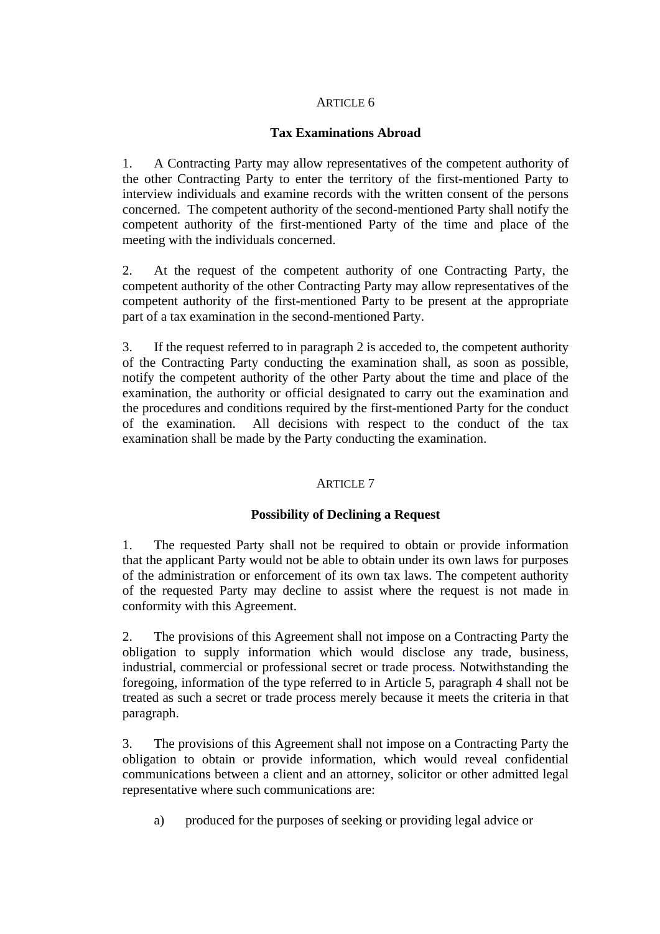# **Tax Examinations Abroad**

1. A Contracting Party may allow representatives of the competent authority of the other Contracting Party to enter the territory of the first-mentioned Party to interview individuals and examine records with the written consent of the persons concerned. The competent authority of the second-mentioned Party shall notify the competent authority of the first-mentioned Party of the time and place of the meeting with the individuals concerned.

2. At the request of the competent authority of one Contracting Party, the competent authority of the other Contracting Party may allow representatives of the competent authority of the first-mentioned Party to be present at the appropriate part of a tax examination in the second-mentioned Party.

3. If the request referred to in paragraph 2 is acceded to, the competent authority of the Contracting Party conducting the examination shall, as soon as possible, notify the competent authority of the other Party about the time and place of the examination, the authority or official designated to carry out the examination and the procedures and conditions required by the first-mentioned Party for the conduct of the examination. All decisions with respect to the conduct of the tax examination shall be made by the Party conducting the examination.

# ARTICLE 7

# **Possibility of Declining a Request**

1. The requested Party shall not be required to obtain or provide information that the applicant Party would not be able to obtain under its own laws for purposes of the administration or enforcement of its own tax laws. The competent authority of the requested Party may decline to assist where the request is not made in conformity with this Agreement.

2. The provisions of this Agreement shall not impose on a Contracting Party the obligation to supply information which would disclose any trade, business, industrial, commercial or professional secret or trade process. Notwithstanding the foregoing, information of the type referred to in Article 5, paragraph 4 shall not be treated as such a secret or trade process merely because it meets the criteria in that paragraph.

3. The provisions of this Agreement shall not impose on a Contracting Party the obligation to obtain or provide information, which would reveal confidential communications between a client and an attorney, solicitor or other admitted legal representative where such communications are:

a) produced for the purposes of seeking or providing legal advice or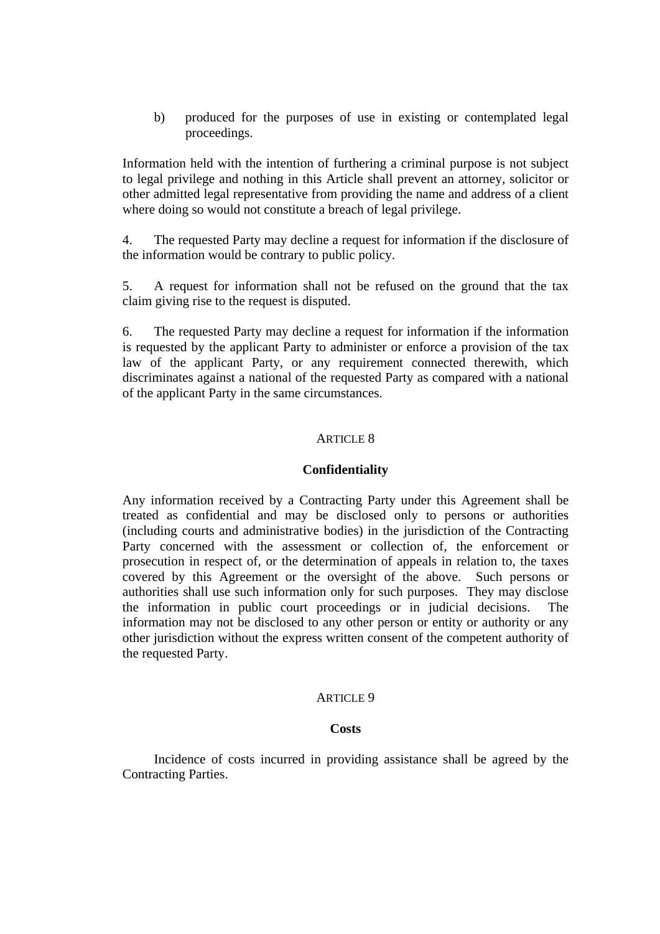b) produced for the purposes of use in existing or contemplated legal proceedings.

Information held with the intention of furthering a criminal purpose is not subject to legal privilege and nothing in this Article shall prevent an attorney, solicitor or other admitted legal representative from providing the name and address of a client where doing so would not constitute a breach of legal privilege.

4. The requested Party may decline a request for information if the disclosure of the information would be contrary to public policy.

5. A request for information shall not be refused on the ground that the tax claim giving rise to the request is disputed.

6. The requested Party may decline a request for information if the information is requested by the applicant Party to administer or enforce a provision of the tax law of the applicant Party, or any requirement connected therewith, which discriminates against a national of the requested Party as compared with a national of the applicant Party in the same circumstances.

## ARTICLE 8

## **Confidentiality**

Any information received by a Contracting Party under this Agreement shall be treated as confidential and may be disclosed only to persons or authorities (including courts and administrative bodies) in the jurisdiction of the Contracting Party concerned with the assessment or collection of, the enforcement or prosecution in respect of, or the determination of appeals in relation to, the taxes covered by this Agreement or the oversight of the above. Such persons or authorities shall use such information only for such purposes. They may disclose the information in public court proceedings or in judicial decisions. The information may not be disclosed to any other person or entity or authority or any other jurisdiction without the express written consent of the competent authority of the requested Party.

### ARTICLE 9

### **Costs**

 Incidence of costs incurred in providing assistance shall be agreed by the Contracting Parties.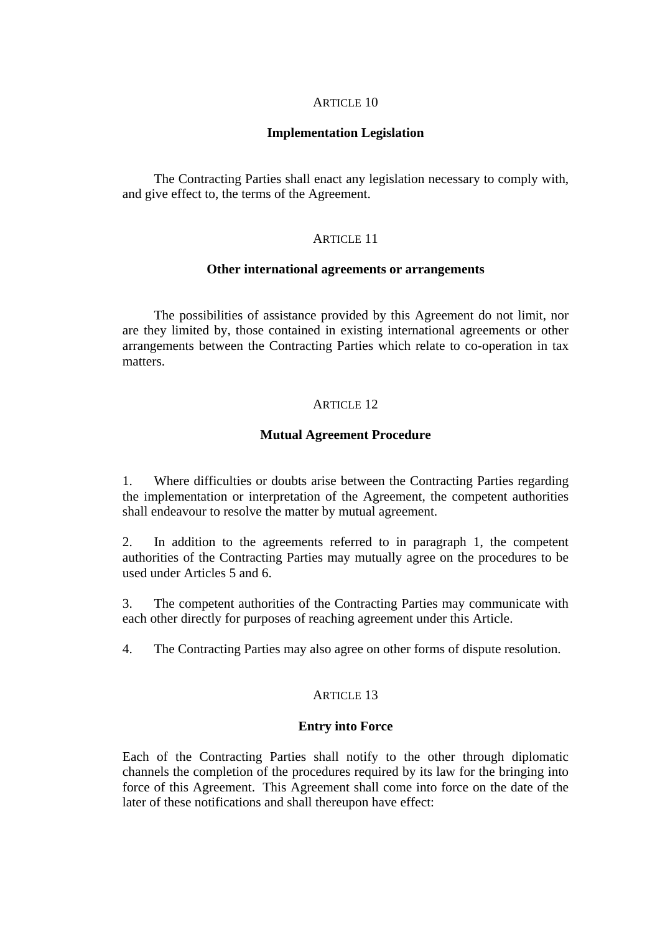### **Implementation Legislation**

 The Contracting Parties shall enact any legislation necessary to comply with, and give effect to, the terms of the Agreement.

## ARTICLE 11

### **Other international agreements or arrangements**

 The possibilities of assistance provided by this Agreement do not limit, nor are they limited by, those contained in existing international agreements or other arrangements between the Contracting Parties which relate to co-operation in tax matters.

#### ARTICLE 12

### **Mutual Agreement Procedure**

1. Where difficulties or doubts arise between the Contracting Parties regarding the implementation or interpretation of the Agreement, the competent authorities shall endeavour to resolve the matter by mutual agreement.

2. In addition to the agreements referred to in paragraph 1, the competent authorities of the Contracting Parties may mutually agree on the procedures to be used under Articles 5 and 6.

3. The competent authorities of the Contracting Parties may communicate with each other directly for purposes of reaching agreement under this Article.

4. The Contracting Parties may also agree on other forms of dispute resolution.

#### **ARTICLE 13**

### **Entry into Force**

Each of the Contracting Parties shall notify to the other through diplomatic channels the completion of the procedures required by its law for the bringing into force of this Agreement. This Agreement shall come into force on the date of the later of these notifications and shall thereupon have effect: